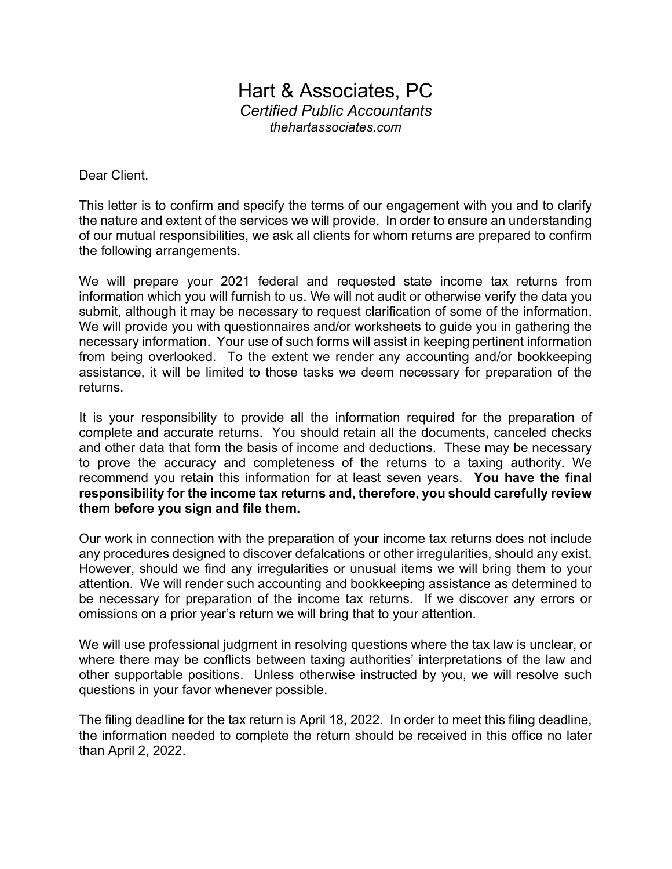## Hart & Associates, PC Certified Public Accountants thehartassociates.com

Dear Client,

This letter is to confirm and specify the terms of our engagement with you and to clarify the nature and extent of the services we will provide. In order to ensure an understanding of our mutual responsibilities, we ask all clients for whom returns are prepared to confirm the following arrangements.

We will prepare your 2021 federal and requested state income tax returns from information which you will furnish to us. We will not audit or otherwise verify the data you submit, although it may be necessary to request clarification of some of the information. We will provide you with questionnaires and/or worksheets to quide you in gathering the necessary information. Your use of such forms will assist in keeping pertinent information from being overlooked. To the extent we render any accounting and/or bookkeeping assistance, it will be limited to those tasks we deem necessary for preparation of the returns.

It is your responsibility to provide all the information required for the preparation of complete and accurate returns. You should retain all the documents, canceled checks and other data that form the basis of income and deductions. These may be necessary to prove the accuracy and completeness of the returns to a taxing authority. We recommend you retain this information for at least seven years. You have the final responsibility for the income tax returns and, therefore, you should carefully review them before you sign and file them.

Our work in connection with the preparation of your income tax returns does not include any procedures designed to discover defalcations or other irregularities, should any exist. However, should we find any irregularities or unusual items we will bring them to your attention. We will render such accounting and bookkeeping assistance as determined to be necessary for preparation of the income tax returns. If we discover any errors or omissions on a prior year's return we will bring that to your attention.

We will use professional judgment in resolving questions where the tax law is unclear, or where there may be conflicts between taxing authorities' interpretations of the law and other supportable positions. Unless otherwise instructed by you, we will resolve such questions in your favor whenever possible.

The filing deadline for the tax return is April 18, 2022. In order to meet this filing deadline, the information needed to complete the return should be received in this office no later than April 2, 2022.